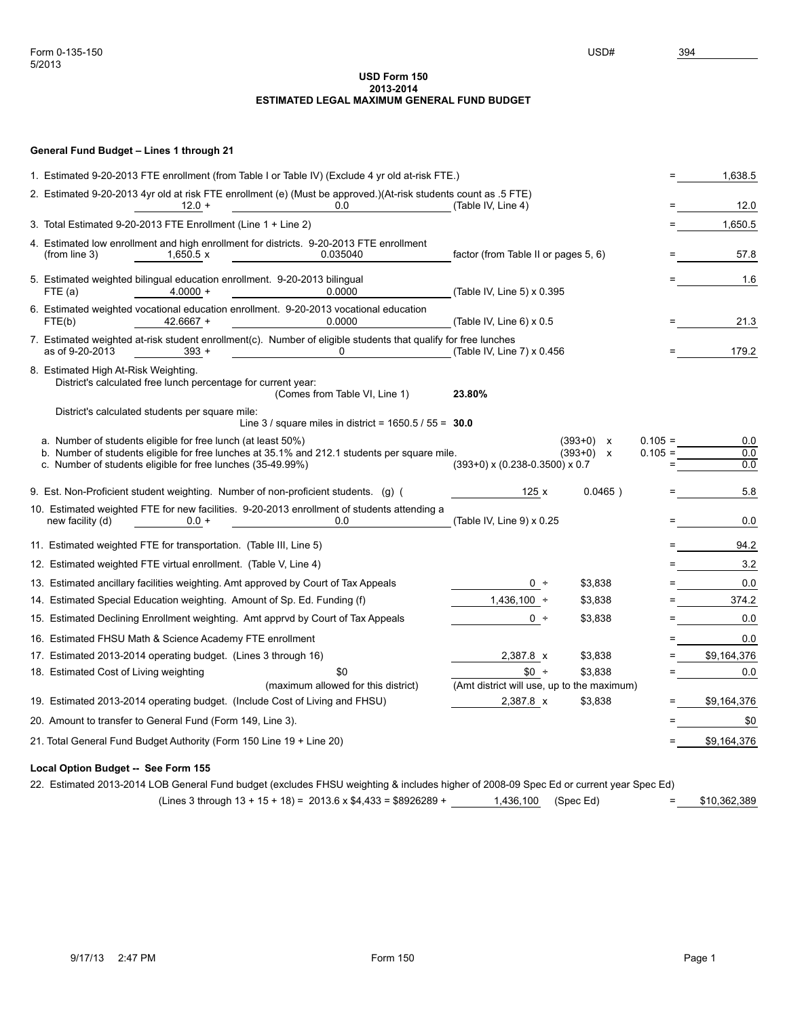## **USD Form 150 2013-2014 ESTIMATED LEGAL MAXIMUM GENERAL FUND BUDGET**

## **General Fund Budget – Lines 1 through 21**

| 1. Estimated 9-20-2013 FTE enrollment (from Table I or Table IV) (Exclude 4 yr old at-risk FTE.)                                                                                                                            |                                            |                                                       |                        | 1,638.5           |
|-----------------------------------------------------------------------------------------------------------------------------------------------------------------------------------------------------------------------------|--------------------------------------------|-------------------------------------------------------|------------------------|-------------------|
| 2. Estimated 9-20-2013 4yr old at risk FTE enrollment (e) (Must be approved.)(At-risk students count as .5 FTE)<br>0.0<br>$12.0 +$                                                                                          | (Table IV, Line 4)                         |                                                       |                        | 12.0              |
| 3. Total Estimated 9-20-2013 FTE Enrollment (Line 1 + Line 2)                                                                                                                                                               |                                            |                                                       |                        | 1,650.5           |
| 4. Estimated low enrollment and high enrollment for districts. 9-20-2013 FTE enrollment<br>(from line $3$ )<br>$1,650.5 \times$<br>0.035040                                                                                 | factor (from Table II or pages 5, 6)       |                                                       |                        | 57.8              |
| 5. Estimated weighted bilingual education enrollment. 9-20-2013 bilingual<br>$4.0000 +$<br>0.0000<br>FTE (a)                                                                                                                | (Table IV, Line 5) x 0.395                 |                                                       |                        | 1.6               |
| 6. Estimated weighted vocational education enrollment. 9-20-2013 vocational education<br>42.6667 +<br>0.0000<br>FTE(b)                                                                                                      | (Table IV, Line $6$ ) x 0.5                |                                                       |                        | 21.3              |
| 7. Estimated weighted at-risk student enrollment(c). Number of eligible students that qualify for free lunches<br>as of 9-20-2013<br>0<br>$393 +$                                                                           | (Table IV, Line 7) x 0.456                 |                                                       |                        | 179.2             |
| 8. Estimated High At-Risk Weighting.<br>District's calculated free lunch percentage for current year:<br>(Comes from Table VI, Line 1)                                                                                      | 23.80%                                     |                                                       |                        |                   |
| District's calculated students per square mile:<br>Line 3 / square miles in district = $1650.5 / 55 = 30.0$                                                                                                                 |                                            |                                                       |                        |                   |
| a. Number of students eligible for free lunch (at least 50%)<br>b. Number of students eligible for free lunches at 35.1% and 212.1 students per square mile.<br>c. Number of students eligible for free lunches (35-49.99%) | $(393+0)$ x $(0.238-0.3500)$ x 0.7         | $(393+0)$ x<br>$(393+0)$<br>$\boldsymbol{\mathsf{x}}$ | $0.105 =$<br>$0.105 =$ | 0.0<br>0.0<br>0.0 |
| 9. Est. Non-Proficient student weighting. Number of non-proficient students. (g) (                                                                                                                                          | 125x                                       | $0.0465$ )                                            |                        | 5.8               |
| 10. Estimated weighted FTE for new facilities. 9-20-2013 enrollment of students attending a<br>0.0<br>new facility (d)<br>$0.0 +$                                                                                           | (Table IV, Line 9) x 0.25                  |                                                       |                        | 0.0               |
| 11. Estimated weighted FTE for transportation. (Table III, Line 5)                                                                                                                                                          |                                            |                                                       |                        | 94.2              |
| 12. Estimated weighted FTE virtual enrollment. (Table V, Line 4)                                                                                                                                                            |                                            |                                                       |                        | 3.2               |
| 13. Estimated ancillary facilities weighting. Amt approved by Court of Tax Appeals                                                                                                                                          | $0 +$                                      | \$3,838                                               |                        | 0.0               |
| 14. Estimated Special Education weighting. Amount of Sp. Ed. Funding (f)                                                                                                                                                    | $1,436,100 +$                              | \$3,838                                               |                        | 374.2             |
| 15. Estimated Declining Enrollment weighting. Amt appryd by Court of Tax Appeals                                                                                                                                            | $0 +$                                      | \$3,838                                               | $=$                    | 0.0               |
| 16. Estimated FHSU Math & Science Academy FTE enrollment                                                                                                                                                                    |                                            |                                                       | $=$                    | 0.0               |
| 17. Estimated 2013-2014 operating budget. (Lines 3 through 16)                                                                                                                                                              | 2,387.8 x                                  | \$3,838                                               |                        | \$9,164,376       |
| 18. Estimated Cost of Living weighting<br>\$0                                                                                                                                                                               | $$0 +$                                     | \$3,838                                               |                        | 0.0               |
| (maximum allowed for this district)                                                                                                                                                                                         | (Amt district will use, up to the maximum) |                                                       |                        |                   |
| 19. Estimated 2013-2014 operating budget. (Include Cost of Living and FHSU)                                                                                                                                                 | 2,387.8 x                                  | \$3,838                                               |                        | \$9,164,376       |
| 20. Amount to transfer to General Fund (Form 149, Line 3).                                                                                                                                                                  |                                            |                                                       |                        | \$0               |
| 21. Total General Fund Budget Authority (Form 150 Line 19 + Line 20)                                                                                                                                                        |                                            |                                                       |                        | \$9,164,376       |
| Local Option Budget -- See Form 155                                                                                                                                                                                         |                                            |                                                       |                        |                   |

22. Estimated 2013-2014 LOB General Fund budget (excludes FHSU weighting & includes higher of 2008-09 Spec Ed or current year Spec Ed)

 $(Lines 3 through 13 + 15 + 18) = 2013.6 x $4,433 = $8926289 + 1,436,100$  (Spec Ed) = \$10,362,389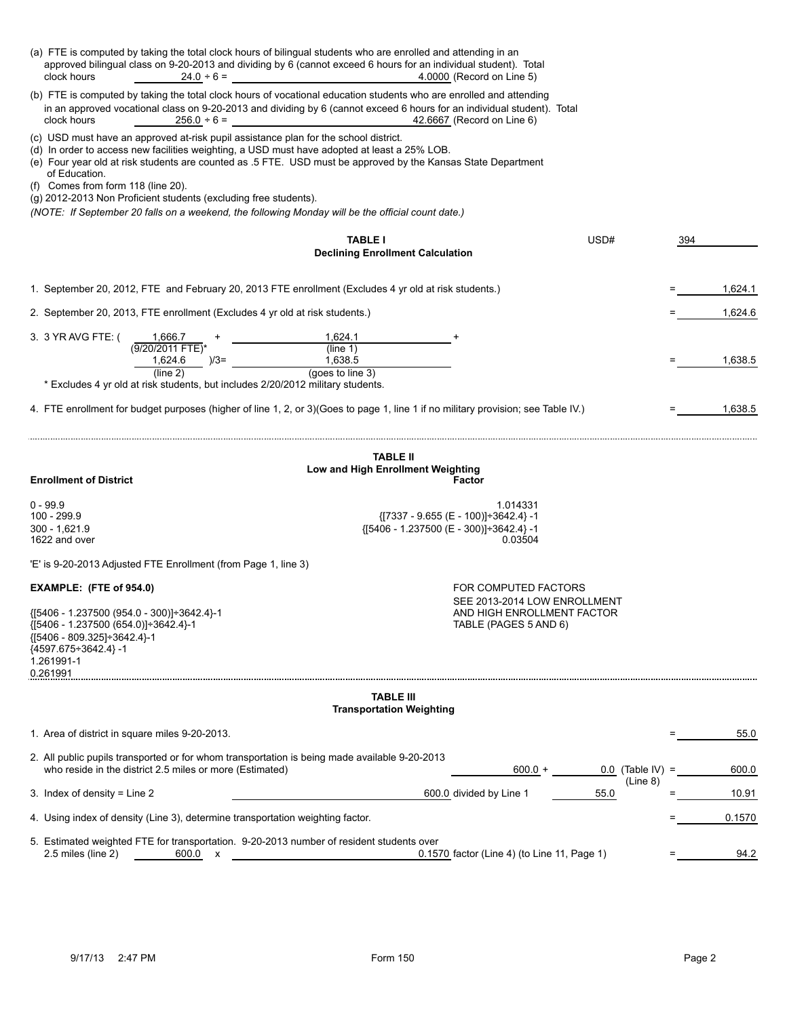| (a) FTE is computed by taking the total clock hours of bilingual students who are enrolled and attending in an<br>clock hours<br>$24.0 \div 6 =$                                                                                                                                                                                                                                                                     | approved bilingual class on 9-20-2013 and dividing by 6 (cannot exceed 6 hours for an individual student). Total<br>4.0000 (Record on Line 5) |                    |         |  |
|----------------------------------------------------------------------------------------------------------------------------------------------------------------------------------------------------------------------------------------------------------------------------------------------------------------------------------------------------------------------------------------------------------------------|-----------------------------------------------------------------------------------------------------------------------------------------------|--------------------|---------|--|
| (b) FTE is computed by taking the total clock hours of vocational education students who are enrolled and attending<br>in an approved vocational class on 9-20-2013 and dividing by 6 (cannot exceed 6 hours for an individual student). Total<br>clock hours<br>42.6667 (Record on Line 6)<br>$256.0 \div 6 =$                                                                                                      |                                                                                                                                               |                    |         |  |
| (c) USD must have an approved at-risk pupil assistance plan for the school district.<br>(d) In order to access new facilities weighting, a USD must have adopted at least a 25% LOB.<br>of Education.<br>(f) Comes from form 118 (line 20).<br>(g) 2012-2013 Non Proficient students (excluding free students).<br>(NOTE: If September 20 falls on a weekend, the following Monday will be the official count date.) | (e) Four year old at risk students are counted as .5 FTE. USD must be approved by the Kansas State Department                                 |                    |         |  |
|                                                                                                                                                                                                                                                                                                                                                                                                                      | <b>TABLE I</b><br><b>Declining Enrollment Calculation</b>                                                                                     | USD#<br>394        |         |  |
| 1. September 20, 2012, FTE and February 20, 2013 FTE enrollment (Excludes 4 yr old at risk students.)                                                                                                                                                                                                                                                                                                                |                                                                                                                                               |                    | 1,624.1 |  |
| 2. September 20, 2013, FTE enrollment (Excludes 4 yr old at risk students.)                                                                                                                                                                                                                                                                                                                                          |                                                                                                                                               |                    | 1,624.6 |  |
| 3. 3 YR AVG FTE: (<br>1,666.7                                                                                                                                                                                                                                                                                                                                                                                        | 1,624.1                                                                                                                                       |                    |         |  |
| (9/20/2011 FTE)*<br>1,624.6<br>$)/3=$                                                                                                                                                                                                                                                                                                                                                                                | (line 1)<br>1,638.5                                                                                                                           |                    | 1.638.5 |  |
| (line 2)<br>* Excludes 4 yr old at risk students, but includes 2/20/2012 military students.                                                                                                                                                                                                                                                                                                                          | (goes to line 3)                                                                                                                              |                    |         |  |
|                                                                                                                                                                                                                                                                                                                                                                                                                      | 4. FTE enrollment for budget purposes (higher of line 1, 2, or 3) (Goes to page 1, line 1 if no military provision; see Table IV.)            |                    | 1,638.5 |  |
| <b>Enrollment of District</b>                                                                                                                                                                                                                                                                                                                                                                                        | <b>TABLE II</b><br>Low and High Enrollment Weighting<br>Factor                                                                                |                    |         |  |
| $0 - 99.9$                                                                                                                                                                                                                                                                                                                                                                                                           | 1.014331                                                                                                                                      |                    |         |  |
| 100 - 299.9<br>$\{[7337 - 9.655 (E - 100)] \div 3642.4\} - 1$<br>300 - 1,621.9<br>${15406 - 1.237500 (E - 300)} \div 3642.4$ -1                                                                                                                                                                                                                                                                                      |                                                                                                                                               |                    |         |  |
| 1622 and over<br>0.03504                                                                                                                                                                                                                                                                                                                                                                                             |                                                                                                                                               |                    |         |  |
| 'E' is 9-20-2013 Adjusted FTE Enrollment (from Page 1, line 3)                                                                                                                                                                                                                                                                                                                                                       |                                                                                                                                               |                    |         |  |
| EXAMPLE: (FTE of 954.0)                                                                                                                                                                                                                                                                                                                                                                                              | FOR COMPUTED FACTORS<br>SEE 2013-2014 LOW ENROLLMENT                                                                                          |                    |         |  |
| {[5406 - 1.237500 (954.0 - 300)] ÷ 3642.4}-1<br>{[5406 - 1.237500 (654.0)] ÷3642.4}-1<br>{[5406 - 809.325]÷3642.4}-1<br>{4597.675÷3642.4}-1<br>1.261991-1<br>0.261991                                                                                                                                                                                                                                                | AND HIGH ENROLLMENT FACTOR<br>TABLE (PAGES 5 AND 6)                                                                                           |                    |         |  |
|                                                                                                                                                                                                                                                                                                                                                                                                                      | <b>TABLE III</b><br><b>Transportation Weighting</b>                                                                                           |                    |         |  |
| 1. Area of district in square miles 9-20-2013.                                                                                                                                                                                                                                                                                                                                                                       |                                                                                                                                               |                    | 55.0    |  |
| 2. All public pupils transported or for whom transportation is being made available 9-20-2013<br>who reside in the district 2.5 miles or more (Estimated)                                                                                                                                                                                                                                                            | $600.0 +$                                                                                                                                     | $0.0$ (Table IV) = | 600.0   |  |
| 3. Index of density = Line 2                                                                                                                                                                                                                                                                                                                                                                                         | 600.0 divided by Line 1                                                                                                                       | (Line 8)<br>55.0   | 10.91   |  |
| 4. Using index of density (Line 3), determine transportation weighting factor.                                                                                                                                                                                                                                                                                                                                       |                                                                                                                                               |                    | 0.1570  |  |
| 5. Estimated weighted FTE for transportation. 9-20-2013 number of resident students over<br>2.5 miles (line 2)<br>600.0 x                                                                                                                                                                                                                                                                                            | 0.1570 factor (Line 4) (to Line 11, Page 1)                                                                                                   |                    | 94.2    |  |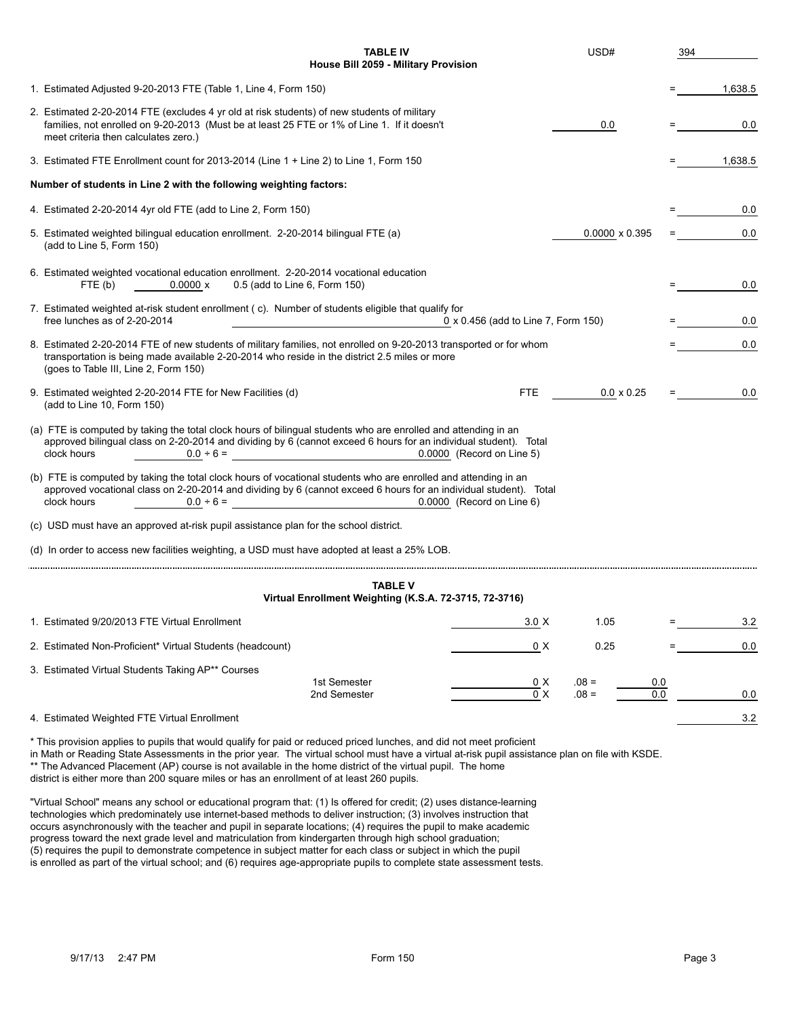| <b>TABLE IV</b><br>House Bill 2059 - Military Provision                                                                                                                                                                                                                                            | USD#                             | 394 |         |  |
|----------------------------------------------------------------------------------------------------------------------------------------------------------------------------------------------------------------------------------------------------------------------------------------------------|----------------------------------|-----|---------|--|
| 1. Estimated Adjusted 9-20-2013 FTE (Table 1, Line 4, Form 150)                                                                                                                                                                                                                                    |                                  |     | 1,638.5 |  |
| 2. Estimated 2-20-2014 FTE (excludes 4 yr old at risk students) of new students of military<br>families, not enrolled on 9-20-2013 (Must be at least 25 FTE or 1% of Line 1. If it doesn't<br>meet criteria then calculates zero.)                                                                 | 0.0                              |     | 0.0     |  |
| 3. Estimated FTE Enrollment count for 2013-2014 (Line 1 + Line 2) to Line 1, Form 150                                                                                                                                                                                                              |                                  |     | 1,638.5 |  |
| Number of students in Line 2 with the following weighting factors:                                                                                                                                                                                                                                 |                                  |     |         |  |
| 4. Estimated 2-20-2014 4yr old FTE (add to Line 2, Form 150)                                                                                                                                                                                                                                       |                                  |     | 0.0     |  |
| 5. Estimated weighted bilingual education enrollment. 2-20-2014 bilingual FTE (a)<br>(add to Line 5, Form 150)                                                                                                                                                                                     | $0.0000 \times 0.395$            |     | 0.0     |  |
| 6. Estimated weighted vocational education enrollment. 2-20-2014 vocational education<br>0.5 (add to Line 6, Form 150)<br>FTE (b)<br>$0.0000 \times$                                                                                                                                               |                                  |     | 0.0     |  |
| 7. Estimated weighted at-risk student enrollment (c). Number of students eligible that qualify for<br>free lunches as of 2-20-2014<br>0 x 0.456 (add to Line 7, Form 150)                                                                                                                          |                                  |     | 0.0     |  |
| 8. Estimated 2-20-2014 FTE of new students of military families, not enrolled on 9-20-2013 transported or for whom<br>transportation is being made available 2-20-2014 who reside in the district 2.5 miles or more<br>(goes to Table III, Line 2, Form 150)                                       |                                  |     | 0.0     |  |
| 9. Estimated weighted 2-20-2014 FTE for New Facilities (d)<br>FTE.<br>(add to Line 10, Form 150)                                                                                                                                                                                                   | $0.0 \times 0.25$                | $=$ | 0.0     |  |
| (a) FTE is computed by taking the total clock hours of bilingual students who are enrolled and attending in an<br>approved bilingual class on 2-20-2014 and dividing by 6 (cannot exceed 6 hours for an individual student). Total<br>clock hours<br>$0.0 \div 6 =$<br>0.0000 (Record on Line 5)   |                                  |     |         |  |
| (b) FTE is computed by taking the total clock hours of vocational students who are enrolled and attending in an<br>approved vocational class on 2-20-2014 and dividing by 6 (cannot exceed 6 hours for an individual student). Total<br>clock hours<br>0.0000 (Record on Line 6)<br>$0.0 \div 6 =$ |                                  |     |         |  |
| (c) USD must have an approved at-risk pupil assistance plan for the school district.                                                                                                                                                                                                               |                                  |     |         |  |
| (d) In order to access new facilities weighting, a USD must have adopted at least a 25% LOB.                                                                                                                                                                                                       |                                  |     |         |  |
|                                                                                                                                                                                                                                                                                                    |                                  |     |         |  |
| <b>TABLE V</b><br>Virtual Enrollment Weighting (K.S.A. 72-3715, 72-3716)                                                                                                                                                                                                                           |                                  |     |         |  |
| 1. Estimated 9/20/2013 FTE Virtual Enrollment<br>3.0 X                                                                                                                                                                                                                                             | 1.05                             |     | 3.2     |  |
| 2. Estimated Non-Proficient* Virtual Students (headcount)<br>0 X                                                                                                                                                                                                                                   | 0.25                             |     | 0.0     |  |
| 3. Estimated Virtual Students Taking AP** Courses<br>1st Semester<br>0 X<br>0 X<br>2nd Semester                                                                                                                                                                                                    | $.08 =$<br>0.0<br>$.08 =$<br>0.0 |     | 0.0     |  |
| 4. Estimated Weighted FTE Virtual Enrollment                                                                                                                                                                                                                                                       |                                  |     | 3.2     |  |
| * This provision applies to pupils that would qualify for paid or reduced priced lunches, and did not meet proficient<br>in Math or Reading State Assessments in the prior year. The virtual school must have a virtual at-risk pupil assistance plan on file with KSDE.                           |                                  |     |         |  |

\*\* The Advanced Placement (AP) course is not available in the home district of the virtual pupil. The home

district is either more than 200 square miles or has an enrollment of at least 260 pupils.

"Virtual School" means any school or educational program that: (1) Is offered for credit; (2) uses distance-learning technologies which predominately use internet-based methods to deliver instruction; (3) involves instruction that occurs asynchronously with the teacher and pupil in separate locations; (4) requires the pupil to make academic progress toward the next grade level and matriculation from kindergarten through high school graduation; (5) requires the pupil to demonstrate competence in subject matter for each class or subject in which the pupil is enrolled as part of the virtual school; and (6) requires age-appropriate pupils to complete state assessment tests.